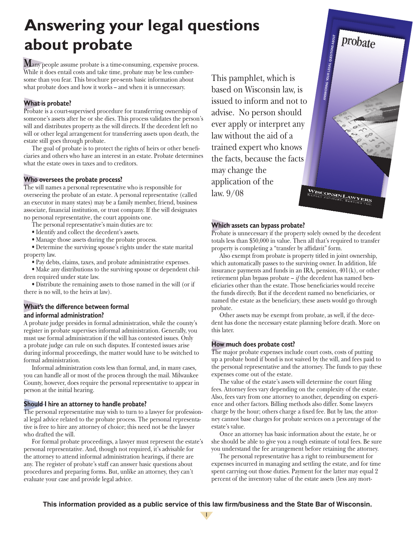# **Answering your legal questions about probate**

**M**any people assume probate is a time-consuming, expensive process. While it does entail costs and take time, probate may be less cumbersome than you fear. This brochure pre-sents basic information about what probate does and how it works – and when it is unnecessary.

# **What is probate?**

Probate is a court-supervised procedure for transferring ownership of someone's assets after he or she dies. This process validates the person's will and distributes property as the will directs. If the decedent left no will or other legal arrangement for transferring assets upon death, the estate still goes through probate.

The goal of probate is to protect the rights of heirs or other beneficiaries and others who have an interest in an estate. Probate determines what the estate owes in taxes and to creditors.

## **Who oversees the probate process?**

The will names a personal representative who is responsible for overseeing the probate of an estate. A personal representative (called an executor in many states) may be a family member, friend, business associate, financial institution, or trust company. If the will designates no personal representative, the court appoints one.

The personal representative's main duties are to:

- Identify and collect the decedent's assets.
- Manage those assets during the probate process.

 • Determine the surviving spouse's rights under the state marital property law.

 • Pay debts, claims, taxes, and probate administrative expenses.

 • Make any distributions to the surviving spouse or dependent children required under state law.

 • Distribute the remaining assets to those named in the will (or if there is no will, to the heirs at law).

## **What's the difference between formal and informal administration?**

A probate judge presides in formal administration, while the county's register in probate supervises informal administration. Generally, you must use formal administration if the will has contested issues. Only a probate judge can rule on such disputes. If contested issues arise during informal proceedings, the matter would have to be switched to formal administration.

Informal administration costs less than formal, and, in many cases, you can handle all or most of the process through the mail. Milwaukee County, however, does require the personal representative to appear in person at the initial hearing.

## **Should I hire an attorney to handle probate?**

The personal representative may wish to turn to a lawyer for professional legal advice related to the probate process. The personal representative is free to hire any attorney of choice; this need not be the lawyer who drafted the will.

For formal probate proceedings, a lawyer must represent the estate's personal representative. And, though not required, it's advisable for the attorney to attend informal administration hearings, if there are any. The register of probate's staff can answer basic questions about procedures and preparing forms. But, unlike an attorney, they can't evaluate your case and provide legal advice.

This pamphlet, which is based on Wisconsin law, is issued to inform and not to advise. No person should ever apply or interpret any law without the aid of a trained expert who knows the facts, because the facts may change the application of the WISCONSIN LAW law. 9/08

# **Which assets can bypass probate?**

Probate is unnecessary if the property solely owned by the decedent totals less than \$50,000 in value. Then all that's required to transfer property is completing a "transfer by affidavit" form.

ANSWERING YOUR LEGAL QUESTIONS ABOUT

probate

Also exempt from probate is property titled in joint ownership, which automatically passes to the surviving owner. In addition, life insurance payments and funds in an IRA, pension, 401(k), or other retirement plan bypass probate – *if* the decedent has named beneficiaries other than the estate. Those beneficiaries would receive the funds directly. But if the decedent named no beneficiaries, or named the estate as the beneficiary, these assets would go through probate.

Other assets may be exempt from probate, as well, if the decedent has done the necessary estate planning before death. More on this later.

## **How much does probate cost?**

The major probate expenses include court costs, costs of putting up a probate bond if bond is not waived by the will, and fees paid to the personal representative and the attorney. The funds to pay these expenses come out of the estate.

The value of the estate's assets will determine the court filing fees. Attorney fees vary depending on the complexity of the estate. Also, fees vary from one attorney to another, depending on experience and other factors. Billing methods also differ. Some lawyers charge by the hour; others charge a fixed fee. But by law, the attorney cannot base charges for probate services on a percentage of the estate's value.

Once an attorney has basic information about the estate, he or she should be able to give you a rough estimate of total fees. Be sure you understand the fee arrangement before retaining the attorney.

The personal representative has a right to reimbursement for expenses incurred in managing and settling the estate, and for time spent carrying out those duties. Payment for the latter may equal 2 percent of the inventory value of the estate assets (less any mort-

**This information provided as a public service of this law firm/business and the State Bar of Wisconsin.**